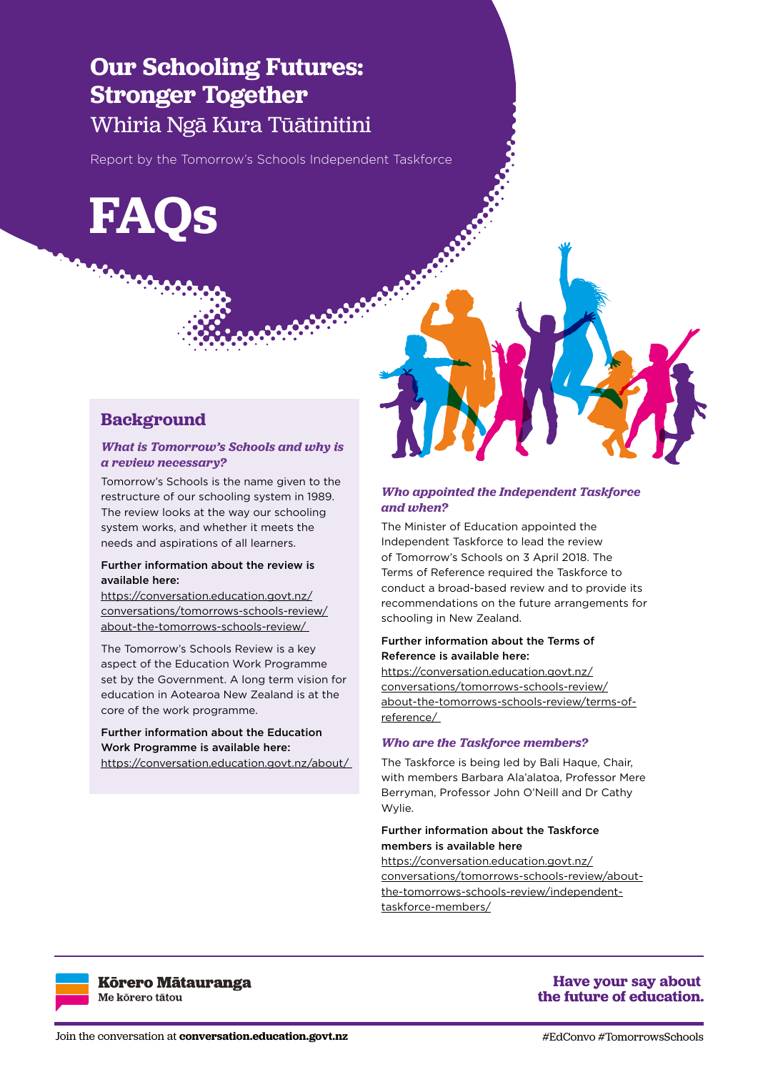# **Our Schooling Futures: Stronger Together** Whiria Ngā Kura Tūātinitini

Report by the Tomorrow's Schools Independent Taskforce

**FAQs**

# **Background**

#### *What is Tomorrow's Schools and why is a review necessary?*

Tomorrow's Schools is the name given to the restructure of our schooling system in 1989. The review looks at the way our schooling system works, and whether it meets the needs and aspirations of all learners.

#### Further information about the review is available here:

https://conversation.education.govt.nz/ conversations/tomorrows-schools-review/ about-the-tomorrows-schools-review/

The Tomorrow's Schools Review is a key aspect of the Education Work Programme set by the Government. A long term vision for education in Aotearoa New Zealand is at the core of the work programme.

# Further information about the Education Work Programme is available here:

https://conversation.education.govt.nz/about/



# *Who appointed the Independent Taskforce and when?*

The Minister of Education appointed the Independent Taskforce to lead the review of Tomorrow's Schools on 3 April 2018. The Terms of Reference required the Taskforce to conduct a broad-based review and to provide its recommendations on the future arrangements for schooling in New Zealand.

#### Further information about the Terms of Reference is available here:

https://conversation.education.govt.nz/ conversations/tomorrows-schools-review/ about-the-tomorrows-schools-review/terms-ofreference/

#### *Who are the Taskforce members?*

The Taskforce is being led by Bali Haque, Chair, with members Barbara Ala'alatoa, Professor Mere Berryman, Professor John O'Neill and Dr Cathy Wylie.

#### Further information about the Taskforce members is available here

https://conversation.education.govt.nz/ conversations/tomorrows-schools-review/aboutthe-tomorrows-schools-review/independenttaskforce-members/



**Körero Mätauranga** Me kõrero tātou

# **Have your say about** the future of education.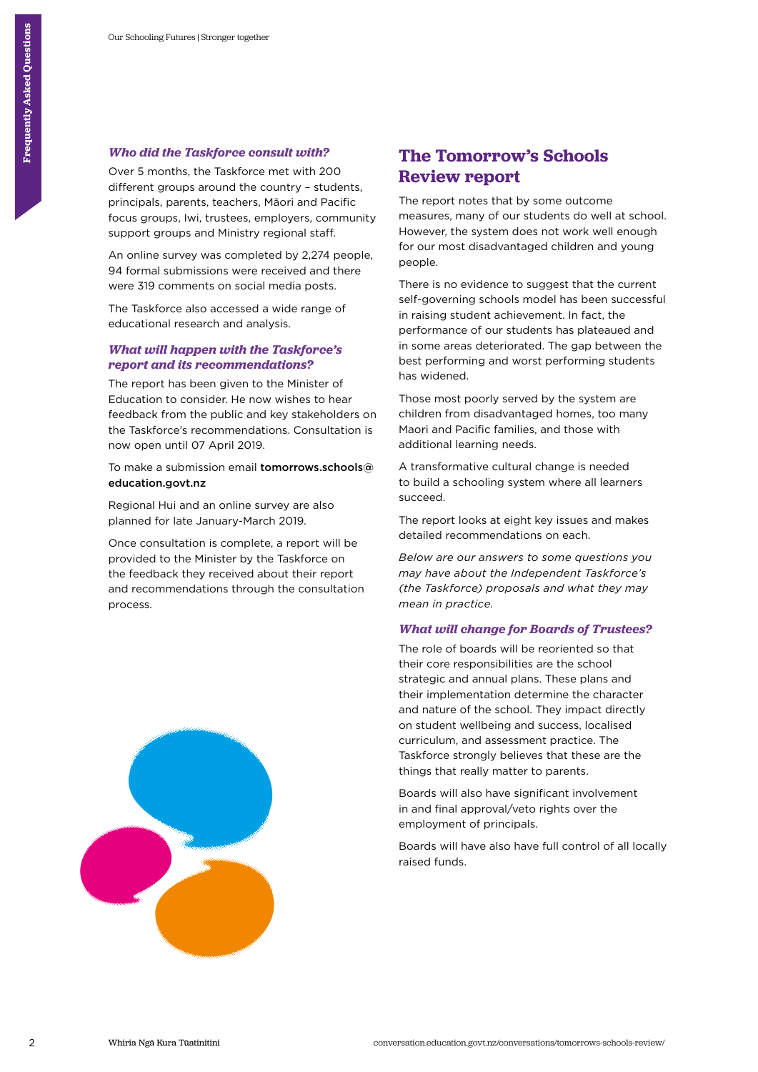# *Who did the Taskforce consult with?*

Over 5 months, the Taskforce met with 200 different groups around the country – students, principals, parents, teachers, Māori and Pacific focus groups, Iwi, trustees, employers, community support groups and Ministry regional staff.

An online survey was completed by 2,274 people, 94 formal submissions were received and there were 319 comments on social media posts.

The Taskforce also accessed a wide range of educational research and analysis.

# *What will happen with the Taskforce's report and its recommendations?*

The report has been given to the Minister of Education to consider. He now wishes to hear feedback from the public and key stakeholders on the Taskforce's recommendations. Consultation is now open until 07 April 2019.

To make a submission email tomorrows.schools@ education.govt.nz

Regional Hui and an online survey are also planned for late January-March 2019.

Once consultation is complete, a report will be provided to the Minister by the Taskforce on the feedback they received about their report and recommendations through the consultation process.



# **The Tomorrow's Schools Review report**

The report notes that by some outcome measures, many of our students do well at school. However, the system does not work well enough for our most disadvantaged children and young people.

There is no evidence to suggest that the current self-governing schools model has been successful in raising student achievement. In fact, the performance of our students has plateaued and in some areas deteriorated. The gap between the best performing and worst performing students has widened.

Those most poorly served by the system are children from disadvantaged homes, too many Maori and Pacific families, and those with additional learning needs.

A transformative cultural change is needed to build a schooling system where all learners succeed.

The report looks at eight key issues and makes detailed recommendations on each.

*Below are our answers to some questions you may have about the Independent Taskforce's (the Taskforce) proposals and what they may mean in practice.*

# *What will change for Boards of Trustees?*

The role of boards will be reoriented so that their core responsibilities are the school strategic and annual plans. These plans and their implementation determine the character and nature of the school. They impact directly on student wellbeing and success, localised curriculum, and assessment practice. The Taskforce strongly believes that these are the things that really matter to parents.

Boards will also have significant involvement in and final approval/veto rights over the employment of principals.

Boards will have also have full control of all locally raised funds.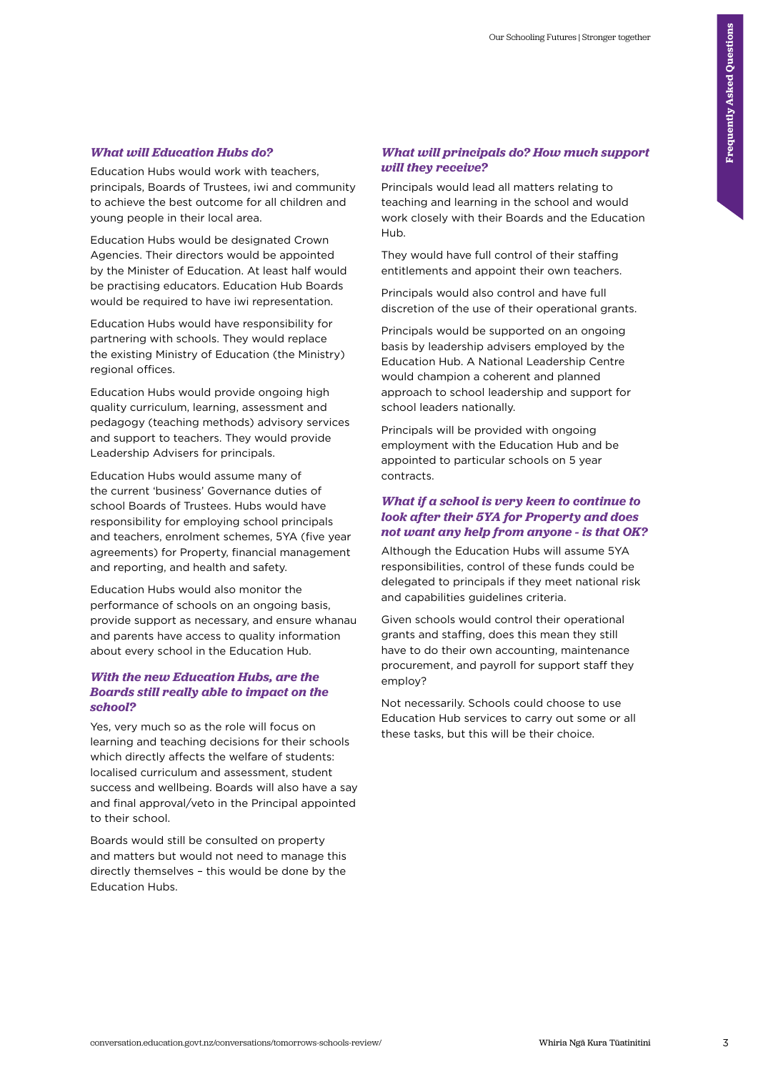#### *What will Education Hubs do?*

Education Hubs would work with teachers, principals, Boards of Trustees, iwi and community to achieve the best outcome for all children and young people in their local area.

Education Hubs would be designated Crown Agencies. Their directors would be appointed by the Minister of Education. At least half would be practising educators. Education Hub Boards would be required to have iwi representation.

Education Hubs would have responsibility for partnering with schools. They would replace the existing Ministry of Education (the Ministry) regional offices.

Education Hubs would provide ongoing high quality curriculum, learning, assessment and pedagogy (teaching methods) advisory services and support to teachers. They would provide Leadership Advisers for principals.

Education Hubs would assume many of the current 'business' Governance duties of school Boards of Trustees. Hubs would have responsibility for employing school principals and teachers, enrolment schemes, 5YA (five year agreements) for Property, financial management and reporting, and health and safety.

Education Hubs would also monitor the performance of schools on an ongoing basis, provide support as necessary, and ensure whanau and parents have access to quality information about every school in the Education Hub.

# *With the new Education Hubs, are the Boards still really able to impact on the school?*

Yes, very much so as the role will focus on learning and teaching decisions for their schools which directly affects the welfare of students: localised curriculum and assessment, student success and wellbeing. Boards will also have a say and final approval/veto in the Principal appointed to their school.

Boards would still be consulted on property and matters but would not need to manage this directly themselves – this would be done by the Education Hubs.

#### *What will principals do? How much support will they receive?*

Principals would lead all matters relating to teaching and learning in the school and would work closely with their Boards and the Education Hub.

They would have full control of their staffing entitlements and appoint their own teachers.

Principals would also control and have full discretion of the use of their operational grants.

Principals would be supported on an ongoing basis by leadership advisers employed by the Education Hub. A National Leadership Centre would champion a coherent and planned approach to school leadership and support for school leaders nationally.

Principals will be provided with ongoing employment with the Education Hub and be appointed to particular schools on 5 year contracts.

#### *What if a school is very keen to continue to look after their 5YA for Property and does not want any help from anyone - is that OK?*

Although the Education Hubs will assume 5YA responsibilities, control of these funds could be delegated to principals if they meet national risk and capabilities guidelines criteria.

Given schools would control their operational grants and staffing, does this mean they still have to do their own accounting, maintenance procurement, and payroll for support staff they employ?

Not necessarily. Schools could choose to use Education Hub services to carry out some or all these tasks, but this will be their choice.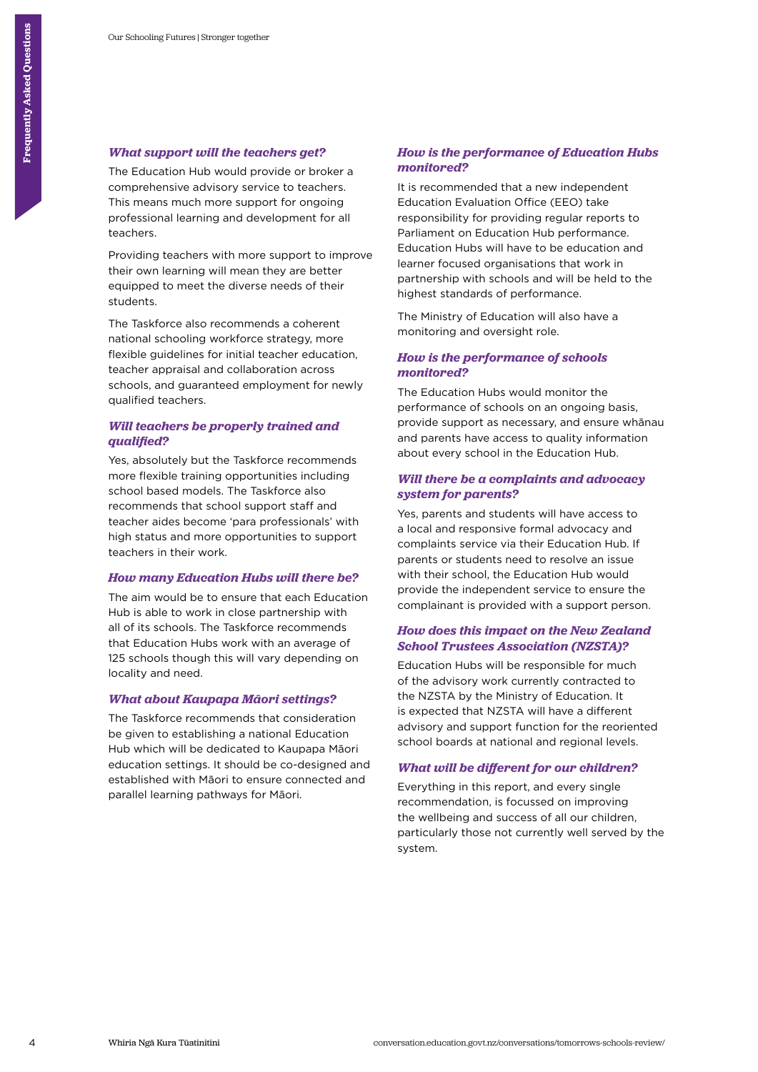# *What support will the teachers get?*

The Education Hub would provide or broker a comprehensive advisory service to teachers. This means much more support for ongoing professional learning and development for all teachers.

Providing teachers with more support to impression their own learning will mean they are better Providing teachers with more support to improve equipped to meet the diverse needs of their students.

The Taskforce also recommends a coherent national schooling workforce strategy, more flexible guidelines for initial teacher education, teacher appraisal and collaboration across schools, and guaranteed employment for newly qualified teachers.

# *Will teachers be properly trained and qualified?*

Yes, absolutely but the Taskforce recommends more flexible training opportunities including school based models. The Taskforce also recommends that school support staff and teacher aides become 'para professionals' with high status and more opportunities to support teachers in their work.

# *How many Education Hubs will there be?*

The aim would be to ensure that each Education Hub is able to work in close partnership with all of its schools. The Taskforce recommends that Education Hubs work with an average of 125 schools though this will vary depending on locality and need.

#### *What about Kaupapa Māori settings?*

The Taskforce recommends that consideration be given to establishing a national Education Hub which will be dedicated to Kaupapa Māori education settings. It should be co-designed and established with Māori to ensure connected and parallel learning pathways for Māori.

# *How is the performance of Education Hubs monitored?*

It is recommended that a new independent Education Evaluation Office (EEO) take responsibility for providing regular reports to Parliament on Education Hub performance. Education Hubs will have to be education and learner focused organisations that work in partnership with schools and will be held to the highest standards of performance.

The Ministry of Education will also have a monitoring and oversight role.

# *How is the performance of schools monitored?*

The Education Hubs would monitor the performance of schools on an ongoing basis, provide support as necessary, and ensure whānau and parents have access to quality information about every school in the Education Hub.

#### *Will there be a complaints and advocacy system for parents?*

Yes, parents and students will have access to a local and responsive formal advocacy and complaints service via their Education Hub. If parents or students need to resolve an issue with their school, the Education Hub would provide the independent service to ensure the complainant is provided with a support person.

# *How does this impact on the New Zealand School Trustees Association (NZSTA)?*

Education Hubs will be responsible for much of the advisory work currently contracted to the NZSTA by the Ministry of Education. It is expected that NZSTA will have a different advisory and support function for the reoriented school boards at national and regional levels.

# *What will be different for our children?*

Everything in this report, and every single recommendation, is focussed on improving the wellbeing and success of all our children, particularly those not currently well served by the system.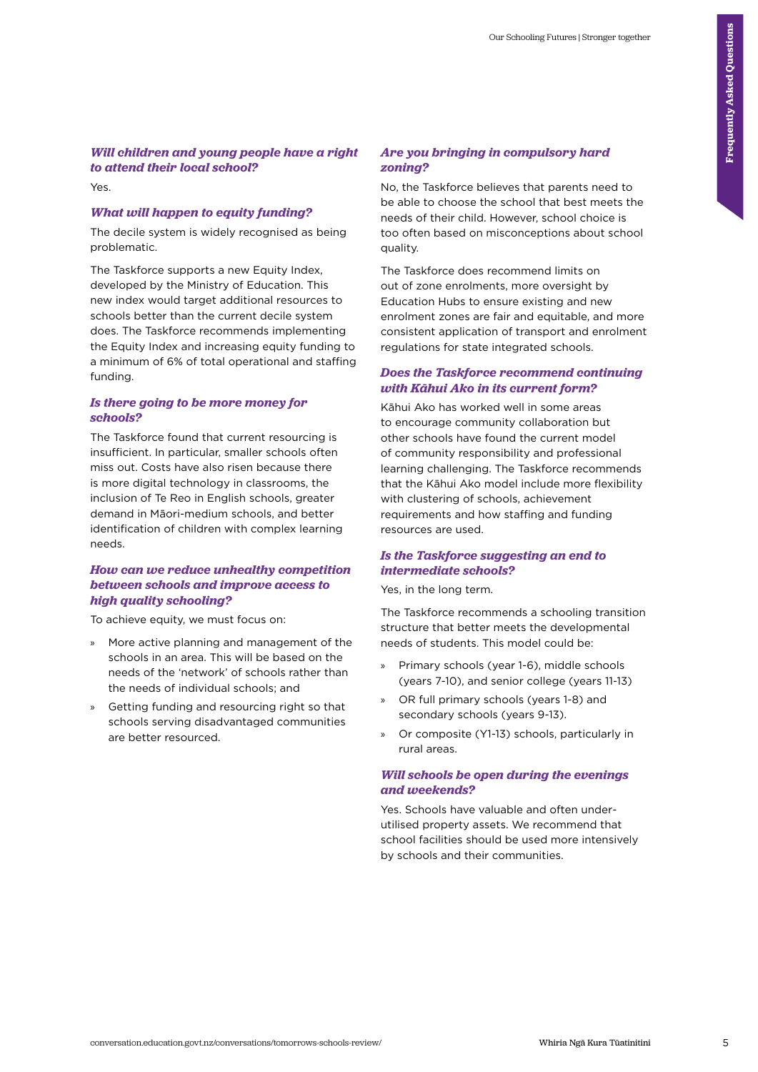# *Will children and young people have a right to attend their local school?*

Yes.

#### *What will happen to equity funding?*

The decile system is widely recognised as being problematic.

The Taskforce supports a new Equity Index, developed by the Ministry of Education. This new index would target additional resources to schools better than the current decile system does. The Taskforce recommends implementing the Equity Index and increasing equity funding to a minimum of 6% of total operational and staffing funding.

#### *Is there going to be more money for schools?*

The Taskforce found that current resourcing is insufficient. In particular, smaller schools often miss out. Costs have also risen because there is more digital technology in classrooms, the inclusion of Te Reo in English schools, greater demand in Māori-medium schools, and better identification of children with complex learning needs.

### *How can we reduce unhealthy competition between schools and improve access to high quality schooling?*

To achieve equity, we must focus on:

- » More active planning and management of the schools in an area. This will be based on the needs of the 'network' of schools rather than the needs of individual schools; and
- Getting funding and resourcing right so that schools serving disadvantaged communities are better resourced.

#### *Are you bringing in compulsory hard zoning?*

No, the Taskforce believes that parents need to be able to choose the school that best meets the needs of their child. However, school choice is too often based on misconceptions about school quality.

The Taskforce does recommend limits on out of zone enrolments, more oversight by Education Hubs to ensure existing and new enrolment zones are fair and equitable, and more consistent application of transport and enrolment regulations for state integrated schools.

#### *Does the Taskforce recommend continuing with Kāhui Ako in its current form?*

Kāhui Ako has worked well in some areas to encourage community collaboration but other schools have found the current model of community responsibility and professional learning challenging. The Taskforce recommends that the Kāhui Ako model include more flexibility with clustering of schools, achievement requirements and how staffing and funding resources are used.

# *Is the Taskforce suggesting an end to intermediate schools?*

Yes, in the long term.

The Taskforce recommends a schooling transition structure that better meets the developmental needs of students. This model could be:

- » Primary schools (year 1-6), middle schools (years 7-10), and senior college (years 11-13)
- » OR full primary schools (years 1-8) and secondary schools (years 9-13).
- » Or composite (Y1-13) schools, particularly in rural areas.

# *Will schools be open during the evenings and weekends?*

Yes. Schools have valuable and often underutilised property assets. We recommend that school facilities should be used more intensively by schools and their communities.